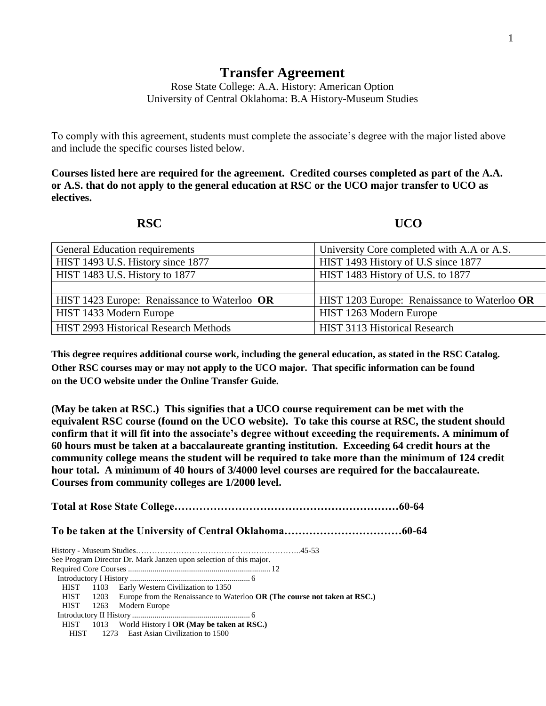## **Transfer Agreement**

Rose State College: A.A. History: American Option University of Central Oklahoma: B.A History-Museum Studies

To comply with this agreement, students must complete the associate's degree with the major listed above and include the specific courses listed below.

**Courses listed here are required for the agreement. Credited courses completed as part of the A.A. or A.S. that do not apply to the general education at RSC or the UCO major transfer to UCO as electives.**

## **RSC UCO**

| <b>General Education requirements</b>        | University Core completed with A.A or A.S.   |
|----------------------------------------------|----------------------------------------------|
| HIST 1493 U.S. History since 1877            | HIST 1493 History of U.S since 1877          |
| HIST 1483 U.S. History to 1877               | HIST 1483 History of U.S. to 1877            |
|                                              |                                              |
| HIST 1423 Europe: Renaissance to Waterloo OR | HIST 1203 Europe: Renaissance to Waterloo OR |
| HIST 1433 Modern Europe                      | HIST 1263 Modern Europe                      |
| <b>HIST 2993 Historical Research Methods</b> | <b>HIST 3113 Historical Research</b>         |

**This degree requires additional course work, including the general education, as stated in the RSC Catalog. Other RSC courses may or may not apply to the UCO major. That specific information can be found on the UCO website under the Online Transfer Guide.**

**(May be taken at RSC.) This signifies that a UCO course requirement can be met with the equivalent RSC course (found on the UCO website). To take this course at RSC, the student should confirm that it will fit into the associate's degree without exceeding the requirements. A minimum of 60 hours must be taken at a baccalaureate granting institution. Exceeding 64 credit hours at the community college means the student will be required to take more than the minimum of 124 credit hour total. A minimum of 40 hours of 3/4000 level courses are required for the baccalaureate. Courses from community colleges are 1/2000 level.**

**Total at Rose State College………………………………………………………60-64 To be taken at the University of Central Oklahoma……………………………60-64** History - Museum Studies……………………………………………………..45-53 See Program Director Dr. Mark Janzen upon selection of this major. Required Core Courses ...................................................................... 12 Introductory I History ........................................................... 6 HIST 1103 Early Western Civilization to 1350 HIST 1203 Europe from the Renaissance to Waterloo **OR (The course not taken at RSC.)** HIST 1263 Modern Europe Introductory II History .......................................................... 6 HIST 1013 World History I **OR (May be taken at RSC.)** HIST 1273 East Asian Civilization to 1500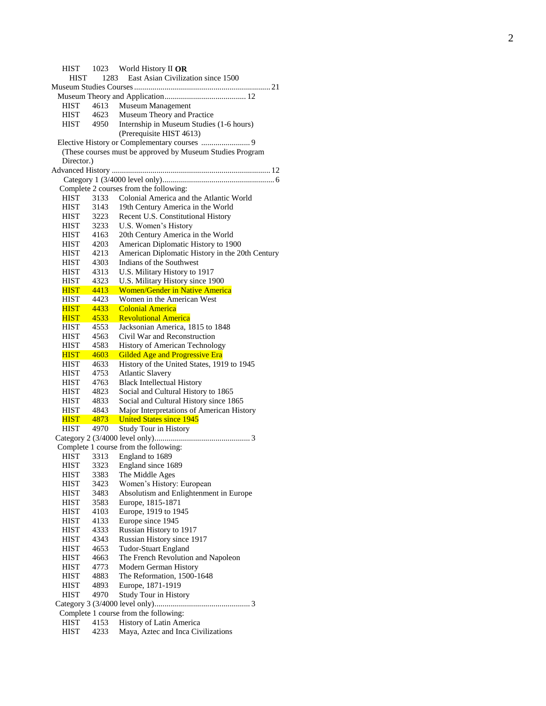Museum Studies Courses................................................................... 21 Museum Theory and Application........................................ 12 HIST 4613 Museum Management HIST 4623 Museum Theory and Practice HIST 4950 Internship in Museum Studies (1 -6 hours) (Prerequisite HIST 4613) Elective History or Complementary courses ........................ 9 (These courses must be approved by Museum Studies Program Director.) Advanced History .............................................................................. 12 Category 1 (3/4000 level only)....................................................... 6 Complete 2 courses from the following: HIST 3133 Colonial America and the Atlantic World HIST 3143 19th Century America in the World HIST 3223 Recent U.S. Constitutional History HIST 3233 U.S. Women's History HIST 4163 20th Century America in the World HIST 4203 American Diplomatic History to 1900 HIST 4213 American Diplomatic History in the 20th Century HIST 4303 Indians of the Southwest HIST 4313 U.S. Military History to 1917 HIST 4323 U.S. Military History since 1900 HIST 4413 Women/Gender in Native America HIST 4423 Women in the American West HIST 4433 Colonial America HIST 4533 Revolutional America HIST 4553 Jacksonian America, 1815 to 1848 HIST 4563 Civil War and Reconstruction HIST 4583 History of American Technology HIST 4603 Gilded Age and Progressive Era HIST 4633 History of the United States, 1919 to 1945 HIST 4753 Atlantic Slavery HIST 4763 Black Intellectual History HIST 4823 Social and Cultural History to 1865 HIST 4833 Social and Cultural History since 1865 HIST 4843 Major Interpretations of American History HIST 4873 United States since 1945 HIST 4970 Study Tour in History Category 2 (3/4000 level only)............................................... 3 Complete 1 course from the following: HIST 3313 England to 1689 HIST 3323 England since 1689 HIST 3383 The Middle Ages HIST 3423 Women's History: European HIST 3483 Absolutism and Enlightenment in Europe HIST 3583 Europe, 1815 -1871 HIST 4103 Europe, 1919 to 1945 HIST 4133 Europe since 1945<br>HIST 4333 Russian History to 4333 Russian History to 1917 HIST 4343 Russian History since 1917 HIST 4653 Tudor -Stuart England HIST 4663 The French Revolution and Napoleon HIST 4773 Modern German History HIST 4883 The Reformation, 1500 -1648 HIST 4893 Europe, 1871 -1919 HIST 4970 Study Tour in History Category 3 (3/4000 level only)............................................... 3 Complete 1 course from the following: HIST 4153 History of Latin America HIST 4233 Maya, Aztec and Inca Civilizations

HIST 1023 World History II **OR**

HIST 1283 East Asian Civilization since 1500